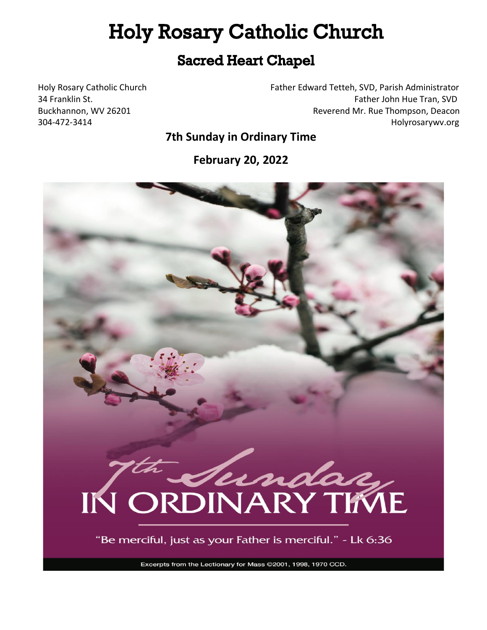# **Holy Rosary Catholic Church**

# **Sacred Heart Chapel**

Holy Rosary Catholic Church Father Edward Tetteh, SVD, Parish Administrator 34 Franklin St. **Father John Hue Tran, SVD** Father John Hue Tran, SVD Buckhannon, WV 26201 **Reverend Mr. Rue Thompson, Deacon** 304-472-3414 Holyrosarywv.org

**7th Sunday in Ordinary Time**

**February 20, 2022**



"Be merciful, just as your Father is merciful." - Lk 6:36

Excerpts from the Lectionary for Mass @2001, 1998, 1970 CCD.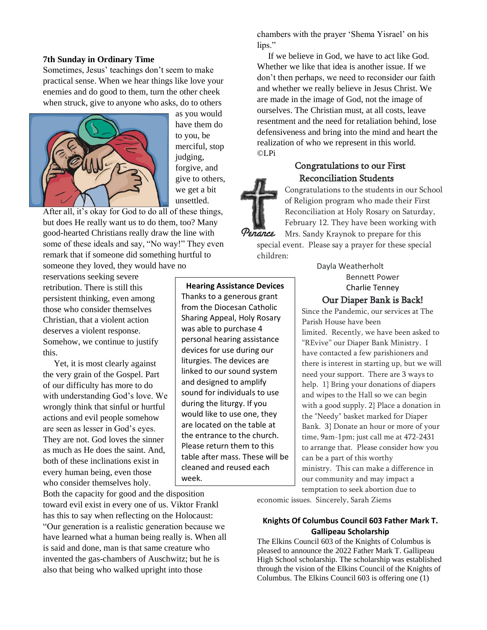#### **7th Sunday in Ordinary Time**

Sometimes, Jesus' teachings don't seem to make practical sense. When we hear things like love your enemies and do good to them, turn the other cheek when struck, give to anyone who asks, do to others



as you would have them do to you, be merciful, stop judging, forgive, and give to others, we get a bit unsettled.

After all, it's okay for God to do all of these things, but does He really want us to do them, too? Many good-hearted Christians really draw the line with some of these ideals and say, "No way!" They even remark that if someone did something hurtful to someone they loved, they would have no

reservations seeking severe retribution. There is still this persistent thinking, even among those who consider themselves Christian, that a violent action deserves a violent response. Somehow, we continue to justify this.

 Yet, it is most clearly against the very grain of the Gospel. Part of our difficulty has more to do with understanding God's love. We wrongly think that sinful or hurtful actions and evil people somehow are seen as lesser in God's eyes. They are not. God loves the sinner as much as He does the saint. And, both of these inclinations exist in every human being, even those who consider themselves holy.

Both the capacity for good and the disposition toward evil exist in every one of us. Viktor Frankl has this to say when reflecting on the Holocaust: "Our generation is a realistic generation because we have learned what a human being really is. When all is said and done, man is that same creature who invented the gas-chambers of Auschwitz; but he is also that being who walked upright into those

chambers with the prayer 'Shema Yisrael' on his lips."

 If we believe in God, we have to act like God. Whether we like that idea is another issue. If we don't then perhaps, we need to reconsider our faith and whether we really believe in Jesus Christ. We are made in the image of God, not the image of ourselves. The Christian must, at all costs, leave resentment and the need for retaliation behind, lose defensiveness and bring into the mind and heart the realization of who we represent in this world. ©LPi

## Congratulations to our First Reconciliation Students



Congratulations to the students in our School of Religion program who made their First Reconciliation at Holy Rosary on Saturday, February 12. They have been working with Mrs. Sandy Kraynok to prepare for this

special event. Please say a prayer for these special children:

> Dayla Weatherholt Bennett Power Charlie Tenney

#### Our Diaper Bank is Back!

Since the Pandemic, our services at The Parish House have been limited. Recently, we have been asked to "REvive" our Diaper Bank Ministry. I have contacted a few parishioners and there is interest in starting up, but we will need your support. There are 3 ways to help. 1} Bring your donations of diapers and wipes to the Hall so we can begin with a good supply. 2} Place a donation in the "Needy" basket marked for Diaper Bank. 3} Donate an hour or more of your time, 9am-1pm; just call me at 472-2431 to arrange that. Please consider how you can be a part of this worthy ministry. This can make a difference in our community and may impact a temptation to seek abortion due to

economic issues. Sincerely, Sarah Ziems

#### **Knights Of Columbus Council 603 Father Mark T. Gallipeau Scholarship**

The Elkins Council 603 of the Knights of Columbus is pleased to announce the 2022 Father Mark T. Gallipeau High School scholarship. The scholarship was established through the vision of the Elkins Council of the Knights of Columbus. The Elkins Council 603 is offering one (1)

Thanks to a generous grant from the Diocesan Catholic Sharing Appeal, Holy Rosary was able to purchase 4 personal hearing assistance devices for use during our liturgies. The devices are linked to our sound system and designed to amplify sound for individuals to use during the liturgy. If you would like to use one, they are located on the table at the entrance to the church. Please return them to this table after mass. These will be cleaned and reused each

week.

**Hearing Assistance Devices**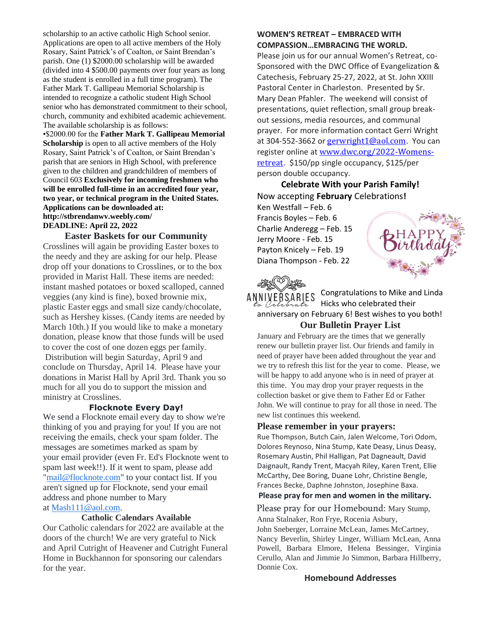scholarship to an active catholic High School senior. Applications are open to all active members of the Holy Rosary, Saint Patrick's of Coalton, or Saint Brendan's parish. One (1) \$2000.00 scholarship will be awarded (divided into 4 \$500.00 payments over four years as long as the student is enrolled in a full time program). The Father Mark T. Gallipeau Memorial Scholarship is intended to recognize a catholic student High School senior who has demonstrated commitment to their school, church, community and exhibited academic achievement. The available scholarship is as follows:

•\$2000.00 for the **Father Mark T. Gallipeau Memorial Scholarship** is open to all active members of the Holy Rosary, Saint Patrick's of Coalton, or Saint Brendan's parish that are seniors in High School, with preference given to the children and grandchildren of members of Council 603 **Exclusively for incoming freshmen who will be enrolled full-time in an accredited four year, two year, or technical program in the United States. Applications can be downloaded at: http://stbrendanwv.weebly.com/ DEADLINE: April 22, 2022**

#### **Easter Baskets for our Community**

Crosslines will again be providing Easter boxes to the needy and they are asking for our help. Please drop off your donations to Crosslines, or to the box provided in Marist Hall. These items are needed: instant mashed potatoes or boxed scalloped, canned veggies (any kind is fine), boxed brownie mix, plastic Easter eggs and small size candy/chocolate, such as Hershey kisses. (Candy items are needed by March 10th.) If you would like to make a monetary donation, please know that those funds will be used to cover the cost of one dozen eggs per family. Distribution will begin Saturday, April 9 and conclude on Thursday, April 14. Please have your donations in Marist Hall by April 3rd. Thank you so much for all you do to support the mission and ministry at Crosslines.

#### **Flocknote Every Day!**

We send a Flocknote email every day to show we're thinking of you and praying for you! If you are not receiving the emails, check your spam folder. The messages are sometimes marked as spam by your email provider (even Fr. Ed's Flocknote went to spam last week!!). If it went to spam, please add ["mail@flocknote.com"](mailto:mail@flocknote.com) to your contact list. If you aren't signed up for Flocknote, send your email address and phone number to Mary at [Mash111@aol.com.](mailto:Mash111@aol.com)

#### **Catholic Calendars Available**

Our Catholic calendars for 2022 are available at the doors of the church! We are very grateful to Nick and April Cutright of Heavener and Cutright Funeral Home in Buckhannon for sponsoring our calendars for the year.

#### **WOMEN'S RETREAT – EMBRACED WITH COMPASSION…EMBRACING THE WORLD.**

Please join us for our annual Women's Retreat, co-Sponsored with the DWC Office of Evangelization & Catechesis, February 25-27, 2022, at St. John XXIII Pastoral Center in Charleston. Presented by Sr. Mary Dean Pfahler. The weekend will consist of presentations, quiet reflection, small group breakout sessions, media resources, and communal prayer. For more information contact Gerri Wright at 304-552-3662 or **[gerwright1@aol.com](mailto:gerwright1@aol.com)**. You can register online at [www.dwc.org/2022-Womens](http://www.dwc.org/2022-Womens-retreat)[retreat](http://www.dwc.org/2022-Womens-retreat). \$150/pp single occupancy, \$125/per person double occupancy.

# **Celebrate With your Parish Family!** Now accepting **February** Celebrations**!**

Ken Westfall – Feb. 6 Francis Boyles – Feb. 6 Charlie Anderegg – Feb. 15 Jerry Moore - Feb. 15 Payton Knicely – Feb. 19 Diana Thompson - Feb. 22



Congratulations to Mike and Linda ANNIVERSARIES Hicks who celebrated their anniversary on February 6! Best wishes to you both! **Our Bulletin Prayer List**

January and February are the times that we generally renew our bulletin prayer list. Our friends and family in need of prayer have been added throughout the year and we try to refresh this list for the year to come. Please, we will be happy to add anyone who is in need of prayer at this time. You may drop your prayer requests in the collection basket or give them to Father Ed or Father John. We will continue to pray for all those in need. The new list continues this weekend.

#### **Please remember in your prayers:**

Rue Thompson, Butch Cain, Jalen Welcome, Tori Odom, Dolores Reynoso, Nina Stump, Kate Deasy, Linus Deasy, Rosemary Austin, Phil Halligan, Pat Dagneault, David Daignault, Randy Trent, Macyah Riley, Karen Trent, Ellie McCarthy, Dee Boring, Duane Lohr, Christine Bengle, Frances Becke, Daphne Johnston, Josephine Baxa.

#### **Please pray for men and women in the military.**

Please pray for our Homebound: Mary Stump,

Anna Stalnaker, Ron Frye, Rocenia Asbury, John Sneberger, Lorraine McLean, James McCartney, Nancy Beverlin, Shirley Linger, William McLean, Anna Powell, Barbara Elmore, Helena Bessinger, Virginia Cerullo, Alan and Jimmie Jo Simmon, Barbara Hillberry, Donnie Cox.

#### **Homebound Addresses**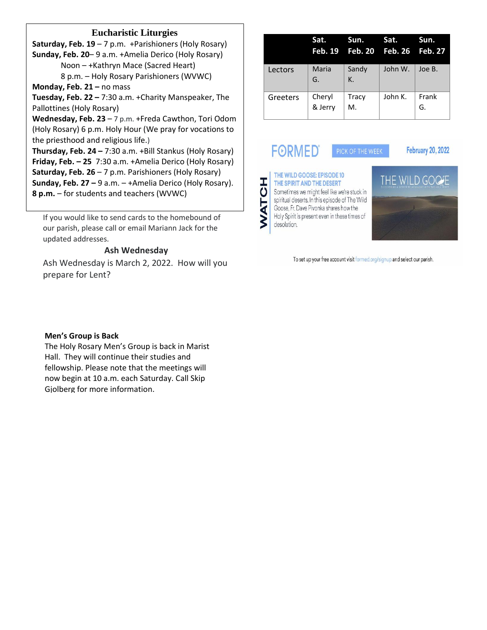### **Eucharistic Liturgies**

**Saturday, Feb. 19** – 7 p.m. +Parishioners (Holy Rosary) **Sunday, Feb. 20**– 9 a.m. +Amelia Derico (Holy Rosary) Noon – +Kathryn Mace (Sacred Heart)

8 p.m. – Holy Rosary Parishioners (WVWC) **Monday, Feb. 21 –** no mass

**Tuesday, Feb. 22 –** 7:30 a.m. +Charity Manspeaker, The Pallottines (Holy Rosary)

**Wednesday, Feb. 23** – 7 p.m. +Freda Cawthon, Tori Odom (Holy Rosary) 6 p.m. Holy Hour (We pray for vocations to the priesthood and religious life.)

**Thursday, Feb. 24 –** 7:30 a.m. +Bill Stankus (Holy Rosary) **Friday, Feb. – 25** 7:30 a.m. +Amelia Derico (Holy Rosary) **Saturday, Feb. 26** – 7 p.m. Parishioners (Holy Rosary) **Sunday, Feb. 27 –** 9 a.m. – +Amelia Derico (Holy Rosary). **8 p.m.** – for students and teachers (WVWC)

If you would like to send cards to the homebound of our parish, please call or email Mariann Jack for the updated addresses.

#### **Ash Wednesday**

Ash Wednesday is March 2, 2022. How will you prepare for Lent?

|          | Sat.              | Sun.<br>Feb. 19 Feb. 20 Feb. 26 Feb. 27 | 'Sat.   | Sun.        |
|----------|-------------------|-----------------------------------------|---------|-------------|
| Lectors  | Maria<br>G.       | Sandy<br>$K_{-}$                        | John W. | Joe B.      |
| Greeters | Cheryl<br>& Jerry | <b>Tracy</b><br>M.                      | John K. | Frank<br>G. |

**FORMED®** 

**February 20, 2022** 



THE WILD GOOSE: EPISODE 10 THE SPIRIT AND THE DESERT Sometimes we might feel like we're stuck in spiritual deserts. In this episode of The Wild Goose, Fr. Dave Pivonka shares how the Holy Spirit is present even in these times of desolation.



To set up your free account visit formed.org/signup and select our parish.

#### **Men's Group is Back**

The Holy Rosary Men's Group is back in Marist Hall. They will continue their studies and fellowship. Please note that the meetings will now begin at 10 a.m. each Saturday. Call Skip Gjolberg for more information.